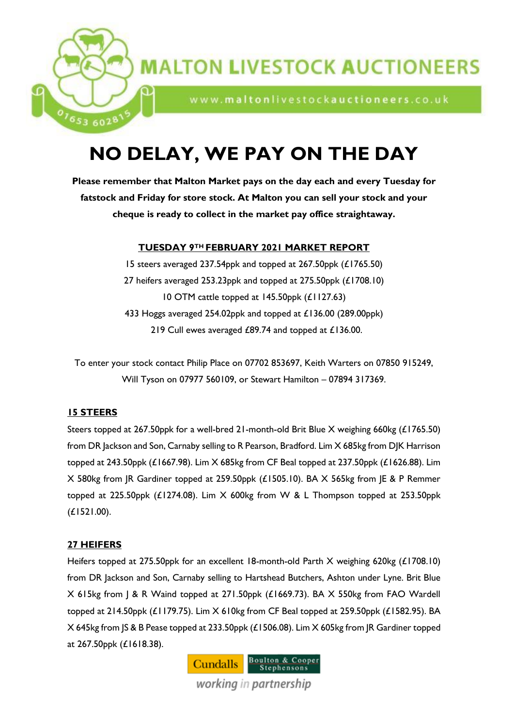

# **MALTON LIVESTOCK AUCTIONEERS**

www.maltonlivestockauctioneers.co.uk

# **NO DELAY, WE PAY ON THE DAY**

**Please remember that Malton Market pays on the day each and every Tuesday for fatstock and Friday for store stock. At Malton you can sell your stock and your cheque is ready to collect in the market pay office straightaway.**

# **TUESDAY 9TH FEBRUARY 2021 MARKET REPORT**

15 steers averaged 237.54ppk and topped at 267.50ppk (£1765.50) 27 heifers averaged 253.23ppk and topped at 275.50ppk (£1708.10) 10 OTM cattle topped at 145.50ppk (£1127.63) 433 Hoggs averaged 254.02ppk and topped at £136.00 (289.00ppk) 219 Cull ewes averaged £89.74 and topped at £136.00.

To enter your stock contact Philip Place on 07702 853697, Keith Warters on 07850 915249, Will Tyson on 07977 560109, or Stewart Hamilton – 07894 317369.

# **15 STEERS**

Steers topped at 267.50ppk for a well-bred 21-month-old Brit Blue X weighing 660kg (£1765.50) from DR Jackson and Son, Carnaby selling to R Pearson, Bradford. Lim X 685kg from DJK Harrison topped at 243.50ppk (£1667.98). Lim X 685kg from CF Beal topped at 237.50ppk (£1626.88). Lim X 580kg from JR Gardiner topped at 259.50ppk (£1505.10). BA X 565kg from JE & P Remmer topped at 225.50ppk (£1274.08). Lim X 600kg from W & L Thompson topped at 253.50ppk (£1521.00).

# **27 HEIFERS**

Heifers topped at 275.50ppk for an excellent 18-month-old Parth X weighing 620kg (£1708.10) from DR Jackson and Son, Carnaby selling to Hartshead Butchers, Ashton under Lyne. Brit Blue X 615kg from J & R Waind topped at 271.50ppk (£1669.73). BA X 550kg from FAO Wardell topped at 214.50ppk (£1179.75). Lim X 610kg from CF Beal topped at 259.50ppk (£1582.95). BA X 645kg from JS & B Pease topped at 233.50ppk (£1506.08). Lim X 605kg from JR Gardiner topped at 267.50ppk (£1618.38).

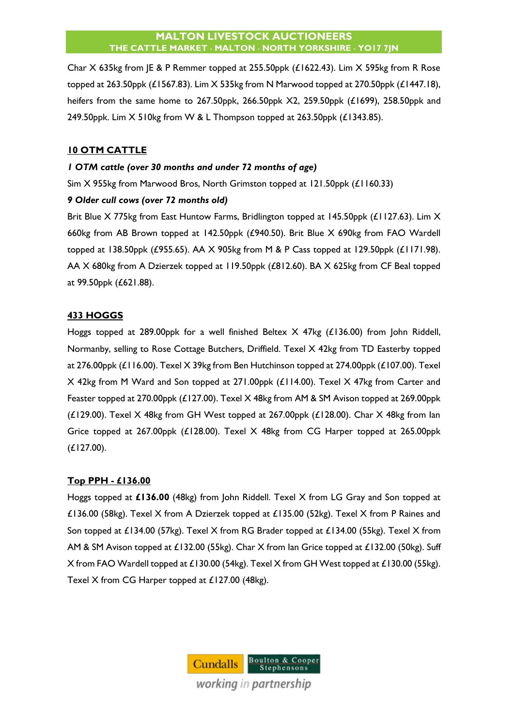Char X 635kg from JE & P Remmer topped at 255.50ppk (£1622.43). Lim X 595kg from R Rose topped at 263.50ppk (£1567.83). Lim X 535kg from N Marwood topped at 270.50ppk (£1447.18), heifers from the same home to 267.50ppk, 266.50ppk X2, 259.50ppk (£1699), 258.50ppk and 249.50ppk. Lim X 510kg from W & L Thompson topped at 263.50ppk (£1343.85).

# **10 OTM CATTLE**

# *1 OTM cattle (over 30 months and under 72 months of age)*

Sim X 955kg from Marwood Bros, North Grimston topped at 121.50ppk (£1160.33)

# *9 Older cull cows (over 72 months old)*

Brit Blue X 775kg from East Huntow Farms, Bridlington topped at 145.50ppk (£1127.63). Lim X 660kg from AB Brown topped at 142.50ppk (£940.50). Brit Blue X 690kg from FAO Wardell topped at 138.50ppk (£955.65). AA X 905kg from M & P Cass topped at 129.50ppk (£1171.98). AA X 680kg from A Dzierzek topped at 119.50ppk (£812.60). BA X 625kg from CF Beal topped at 99.50ppk (£621.88).

# **433 HOGGS**

Hoggs topped at 289.00ppk for a well finished Beltex X 47kg (£136.00) from John Riddell, Normanby, selling to Rose Cottage Butchers, Driffield. Texel X 42kg from TD Easterby topped at 276.00ppk (£116.00). Texel X 39kg from Ben Hutchinson topped at 274.00ppk (£107.00). Texel X 42kg from M Ward and Son topped at 271.00ppk (£114.00). Texel X 47kg from Carter and Feaster topped at 270.00ppk (£127.00). Texel X 48kg from AM & SM Avison topped at 269.00ppk ( $£129.00$ ). Texel  $X$  48kg from GH West topped at 267.00ppk ( $£128.00$ ). Char  $X$  48kg from lan Grice topped at 267.00ppk (£128.00). Texel X 48kg from CG Harper topped at 265.00ppk (£127.00).

# **Top PPH - £136.00**

Hoggs topped at **£136.00** (48kg) from John Riddell. Texel X from LG Gray and Son topped at £136.00 (58kg). Texel X from A Dzierzek topped at £135.00 (52kg). Texel X from P Raines and Son topped at £134.00 (57kg). Texel X from RG Brader topped at £134.00 (55kg). Texel X from AM & SM Avison topped at £132.00 (55kg). Char X from Ian Grice topped at £132.00 (50kg). Suff X from FAO Wardell topped at £130.00 (54kg). Texel X from GH West topped at £130.00 (55kg). Texel X from CG Harper topped at £127.00 (48kg).

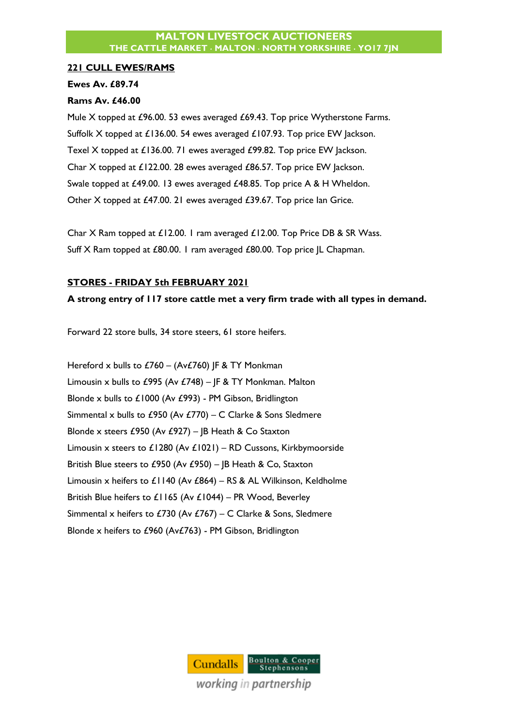# **221 CULL EWES/RAMS**

# **Ewes Av. £89.74**

# **Rams Av. £46.00**

Mule X topped at £96.00. 53 ewes averaged £69.43. Top price Wytherstone Farms. Suffolk X topped at £136.00. 54 ewes averaged £107.93. Top price EW Jackson. Texel X topped at £136.00. 71 ewes averaged £99.82. Top price EW Jackson. Char X topped at £122.00. 28 ewes averaged £86.57. Top price EW Jackson. Swale topped at £49.00. 13 ewes averaged £48.85. Top price A & H Wheldon. Other X topped at £47.00. 21 ewes averaged £39.67. Top price Ian Grice.

Char X Ram topped at £12.00. 1 ram averaged £12.00. Top Price DB & SR Wass. Suff X Ram topped at £80.00. 1 ram averaged £80.00. Top price JL Chapman.

# **STORES - FRIDAY 5th FEBRUARY 2021**

# **A strong entry of 117 store cattle met a very firm trade with all types in demand.**

Forward 22 store bulls, 34 store steers, 61 store heifers.

Hereford x bulls to  $£760 - (Av£760)$  JF & TY Monkman Limousin x bulls to £995 (Av £748) – JF & TY Monkman. Malton Blonde x bulls to £1000 (Av £993) - PM Gibson, Bridlington Simmental x bulls to £950 (Av £770) – C Clarke & Sons Sledmere Blonde x steers £950 (Av £927) – JB Heath & Co Staxton Limousin x steers to £1280 (Av £1021) – RD Cussons, Kirkbymoorside British Blue steers to £950 (Av £950) – JB Heath & Co, Staxton Limousin x heifers to £1140 (Av £864) – RS & AL Wilkinson, Keldholme British Blue heifers to £1165 (Av £1044) – PR Wood, Beverley Simmental x heifers to £730 (Av £767) – C Clarke & Sons, Sledmere Blonde x heifers to £960 (Av£763) - PM Gibson, Bridlington

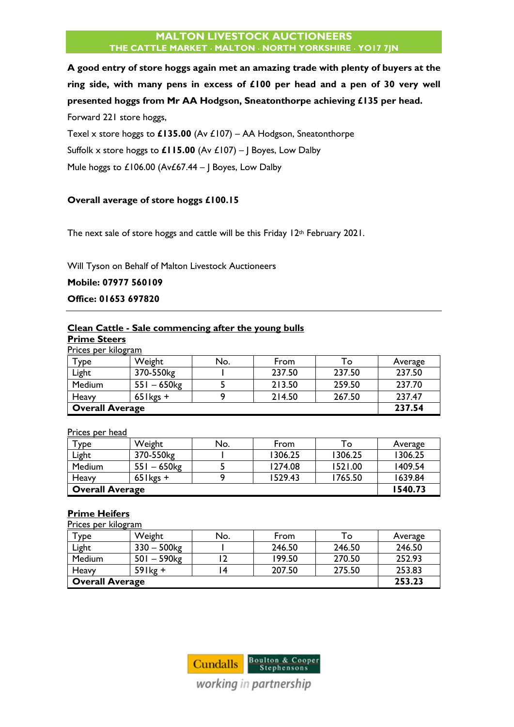**A good entry of store hoggs again met an amazing trade with plenty of buyers at the ring side, with many pens in excess of £100 per head and a pen of 30 very well presented hoggs from Mr AA Hodgson, Sneatonthorpe achieving £135 per head.** Forward 221 store hoggs,

Texel x store hoggs to **£135.00** (Av £107) – AA Hodgson, Sneatonthorpe Suffolk x store hoggs to **£115.00** (Av £107) – J Boyes, Low Dalby Mule hoggs to £106.00 (Av£67.44 – J Boyes, Low Dalby

# **Overall average of store hoggs £100.15**

The next sale of store hoggs and cattle will be this Friday 12<sup>th</sup> February 2021.

Will Tyson on Behalf of Malton Livestock Auctioneers

**Mobile: 07977 560109**

**Office: 01653 697820**

# **Clean Cattle - Sale commencing after the young bulls**

**Prime Steers** Prices per kilogram

| <u>Frices per kilogram</u> |                        |     |        |        |         |
|----------------------------|------------------------|-----|--------|--------|---------|
| Туре                       | Weight                 | No. | From   | To     | Average |
| Light                      | 370-550kg              |     | 237.50 | 237.50 | 237.50  |
| Medium                     | $551 - 650$ kg         |     | 213.50 | 259.50 | 237.70  |
| Heavy                      | $65$ l kgs +           |     | 214.50 | 267.50 | 237.47  |
|                            | <b>Overall Average</b> |     |        |        |         |

#### Prices per head

| $T$ ype                | Weight         | No. | From    | To      | Average |
|------------------------|----------------|-----|---------|---------|---------|
| Light                  | 370-550kg      |     | 1306.25 | 1306.25 | 1306.25 |
| Medium                 | $551 - 650$ kg |     | 1274.08 | 1521.00 | 1409.54 |
| Heavy                  | $65$ l kgs +   |     | 1529.43 | 1765.50 | 1639.84 |
| <b>Overall Average</b> |                |     |         |         | 1540.73 |

## **Prime Heifers**

| Prices per kilogram    |                           |     |        |        |         |  |  |
|------------------------|---------------------------|-----|--------|--------|---------|--|--|
| Type                   | Weight                    | No. | From   | To     | Average |  |  |
| Light                  | $330 - 500$ <sub>kg</sub> |     | 246.50 | 246.50 | 246.50  |  |  |
| Medium                 | $501 - 590$ <sub>kg</sub> |     | 199.50 | 270.50 | 252.93  |  |  |
| Heavy                  | $59$ lkg +                |     | 207.50 | 275.50 | 253.83  |  |  |
| <b>Overall Average</b> |                           |     |        |        | 253.23  |  |  |



working in partnership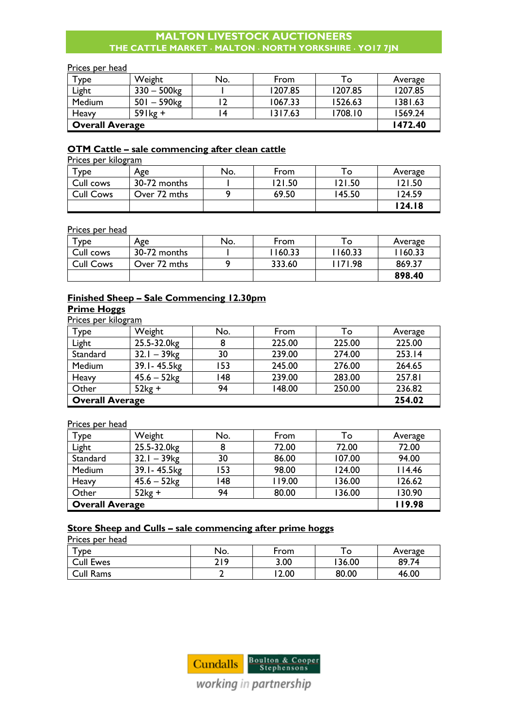#### Prices per head

| $\mathsf{\tau}_{\mathsf{ype}}$ | Weight                    | No. | From    | To.     | Average |
|--------------------------------|---------------------------|-----|---------|---------|---------|
| Light                          | $330 - 500$ kg            |     | 1207.85 | 1207.85 | 1207.85 |
| Medium                         | $501 - 590$ <sub>kg</sub> |     | 1067.33 | 1526.63 | 1381.63 |
| Heavy                          | $59$ lkg +                |     | 1317.63 | 1708.10 | 1569.24 |
| <b>Overall Average</b>         |                           |     |         |         | 1472.40 |

# **OTM Cattle – sale commencing after clean cattle**

Prices per kilogram

| $\mathsf{\tau}_{\mathsf{V}\mathsf{P}\mathsf{e}}$ | Age          | No. | From   | ۱o     | Average |
|--------------------------------------------------|--------------|-----|--------|--------|---------|
| Cull cows                                        | 30-72 months |     | 121.50 | 121.50 | 21.50   |
| <b>Cull Cows</b>                                 | Over 72 mths |     | 69.50  | 145.50 | 124.59  |
|                                                  |              |     |        |        | 124.18  |

# Prices per head

| _____<br>туре    | Age          | No. | From    | To      | Average |
|------------------|--------------|-----|---------|---------|---------|
| Cull cows        | 30-72 months |     | 1160.33 | 1160.33 | 1160.33 |
| <b>Cull Cows</b> | Over 72 mths |     | 333.60  | 1171.98 | 869.37  |
|                  |              |     |         |         | 898.40  |

# **Finished Sheep – Sale Commencing 12.30pm Prime Hoggs**

Prices per kilogram

| Type                   | Weight                    | No. | From   | То     | Average |
|------------------------|---------------------------|-----|--------|--------|---------|
| Light                  | 25.5-32.0kg               |     | 225.00 | 225.00 | 225.00  |
| Standard               | $32.1 - 39$ <sub>kg</sub> | 30  | 239.00 | 274.00 | 253.14  |
| Medium                 | 39.1-45.5kg               | 153 | 245.00 | 276.00 | 264.65  |
| Heavy                  | $45.6 - 52$ kg            | 148 | 239.00 | 283.00 | 257.81  |
| Other                  | $52kg +$                  | 94  | 148.00 | 250.00 | 236.82  |
| <b>Overall Average</b> |                           |     |        |        | 254.02  |

Prices per head

| Type                   | Weight                    | No. | From   | To     | Average |
|------------------------|---------------------------|-----|--------|--------|---------|
| Light                  | 25.5-32.0kg               | 8   | 72.00  | 72.00  | 72.00   |
| Standard               | $32.1 - 39$ <sub>kg</sub> | 30  | 86.00  | 107.00 | 94.00   |
| Medium                 | 39.1-45.5kg               | 153 | 98.00  | 124.00 | 114.46  |
| Heavy                  | $45.6 - 52kg$             | 148 | 119.00 | 136.00 | 126.62  |
| Other                  | $52kg +$                  | 94  | 80.00  | 136.00 | 130.90  |
| <b>Overall Average</b> |                           |     |        |        | 119.98  |

# **Store Sheep and Culls – sale commencing after prime hoggs**

Prices per head

| ype              | No. | From |       | Average |
|------------------|-----|------|-------|---------|
| <b>Cull Ewes</b> | 719 | 3.00 | 36.00 | 89.74   |
| Cull Rams        |     | 2.00 | 80.00 | 46.00   |



working in partnership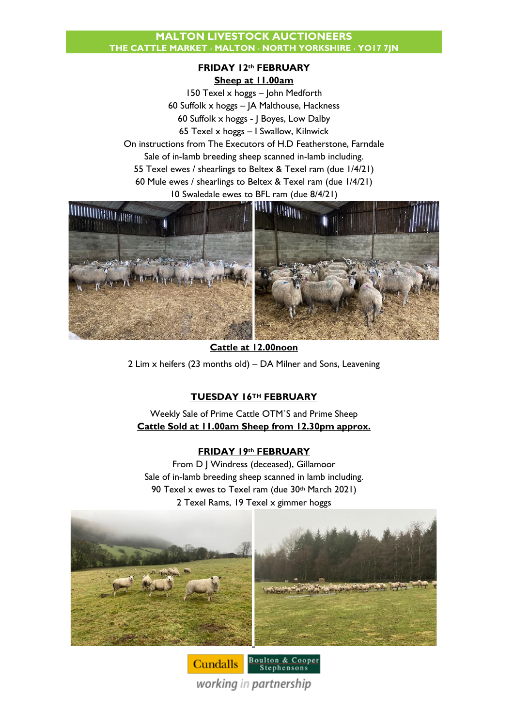# **FRIDAY 12th FEBRUARY**

**Sheep at 11.00am**

150 Texel x hoggs – John Medforth 60 Suffolk x hoggs – JA Malthouse, Hackness 60 Suffolk x hoggs - J Boyes, Low Dalby 65 Texel x hoggs – I Swallow, Kilnwick On instructions from The Executors of H.D Featherstone, Farndale Sale of in-lamb breeding sheep scanned in-lamb including. 55 Texel ewes / shearlings to Beltex & Texel ram (due 1/4/21) 60 Mule ewes / shearlings to Beltex & Texel ram (due 1/4/21) 10 Swaledale ewes to BFL ram (due 8/4/21)



**Cattle at 12.00noon** 2 Lim x heifers (23 months old) – DA Milner and Sons, Leavening

# **TUESDAY 16TH FEBRUARY**

Weekly Sale of Prime Cattle OTM`S and Prime Sheep **Cattle Sold at 11.00am Sheep from 12.30pm approx.**

# **FRIDAY 19th FEBRUARY**

From D J Windress (deceased), Gillamoor Sale of in-lamb breeding sheep scanned in lamb including. 90 Texel x ewes to Texel ram (due 30th March 2021) 2 Texel Rams, 19 Texel x gimmer hoggs



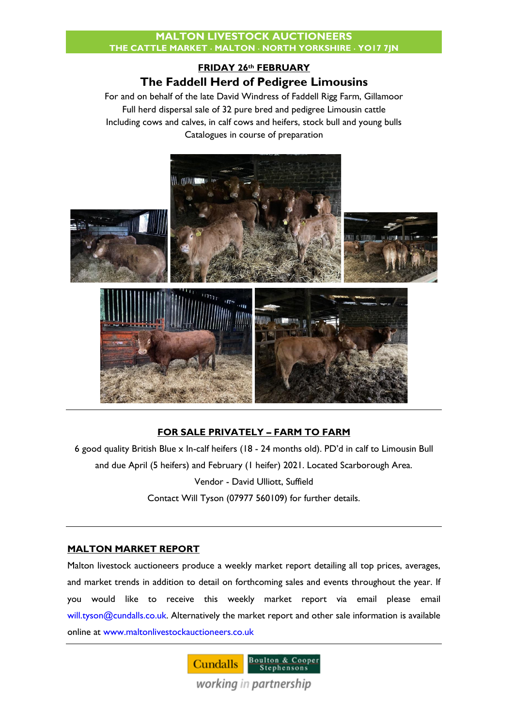# **FRIDAY 26th FEBRUARY The Faddell Herd of Pedigree Limousins**

For and on behalf of the late David Windress of Faddell Rigg Farm, Gillamoor Full herd dispersal sale of 32 pure bred and pedigree Limousin cattle Including cows and calves, in calf cows and heifers, stock bull and young bulls Catalogues in course of preparation



# **FOR SALE PRIVATELY – FARM TO FARM**

6 good quality British Blue x In-calf heifers (18 - 24 months old). PD'd in calf to Limousin Bull and due April (5 heifers) and February (1 heifer) 2021. Located Scarborough Area. Vendor - David Ulliott, Suffield Contact Will Tyson (07977 560109) for further details.

# **MALTON MARKET REPORT**

Malton livestock auctioneers produce a weekly market report detailing all top prices, averages, and market trends in addition to detail on forthcoming sales and events throughout the year. If you would like to receive this weekly market report via email please email [will.tyson@cundalls.co.uk.](mailto:will.tyson@cundalls.co.uk) Alternatively the market report and other sale information is available online at [www.maltonlivestockauctioneers.co.uk](http://www.maltonlivestockauctioneers.co.uk/)